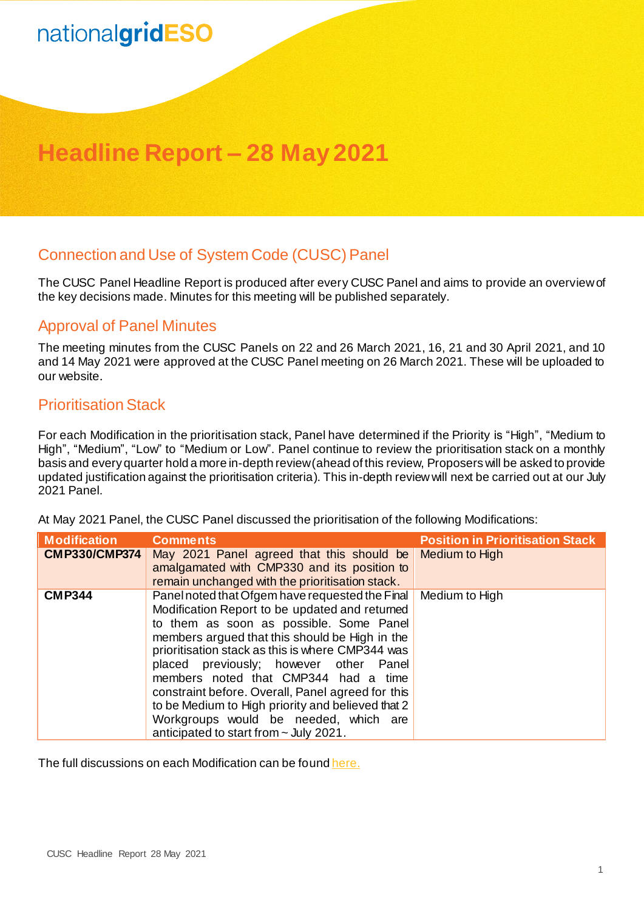# nationalgridESO

# **Headline Report – 28 May 2021**

## Connection and Use of System Code (CUSC) Panel

The CUSC Panel Headline Report is produced after every CUSC Panel and aims to provide an overview of the key decisions made. Minutes for this meeting will be published separately.

## Approval of Panel Minutes

The meeting minutes from the CUSC Panels on 22 and 26 March 2021, 16, 21 and 30 April 2021, and 10 and 14 May 2021 were approved at the CUSC Panel meeting on 26 March 2021. These will be uploaded to our website.

## Prioritisation Stack

For each Modification in the prioritisation stack, Panel have determined if the Priority is "High", "Medium to High", "Medium", "Low" to "Medium or Low". Panel continue to review the prioritisation stack on a monthly basis and every quarter hold a more in-depth review (ahead of this review, Proposers will be asked to provide updated justification against the prioritisation criteria). This in-depth review will next be carried out at our July 2021 Panel.

At May 2021 Panel, the CUSC Panel discussed the prioritisation of the following Modifications:

| <b>Modification</b>  | <b>Comments</b>                                                                                                                                                                                                                                                                                                                                                                                                                                                                                                                   | <b>Position in Prioritisation Stack</b> |
|----------------------|-----------------------------------------------------------------------------------------------------------------------------------------------------------------------------------------------------------------------------------------------------------------------------------------------------------------------------------------------------------------------------------------------------------------------------------------------------------------------------------------------------------------------------------|-----------------------------------------|
| <b>CMP330/CMP374</b> | May 2021 Panel agreed that this should be<br>amalgamated with CMP330 and its position to<br>remain unchanged with the prioritisation stack.                                                                                                                                                                                                                                                                                                                                                                                       | Medium to High                          |
| <b>CMP344</b>        | Panel noted that Ofgem have requested the Final<br>Modification Report to be updated and returned<br>to them as soon as possible. Some Panel<br>members argued that this should be High in the<br>prioritisation stack as this is where CMP344 was<br>placed previously; however other Panel<br>members noted that CMP344 had a time<br>constraint before. Overall, Panel agreed for this<br>to be Medium to High priority and believed that 2<br>Workgroups would be needed, which are<br>anticipated to start from ~ July 2021. | Medium to High                          |

The full discussions on each Modification can be foun[d here.](https://www.nationalgrideso.com/document/192791/download)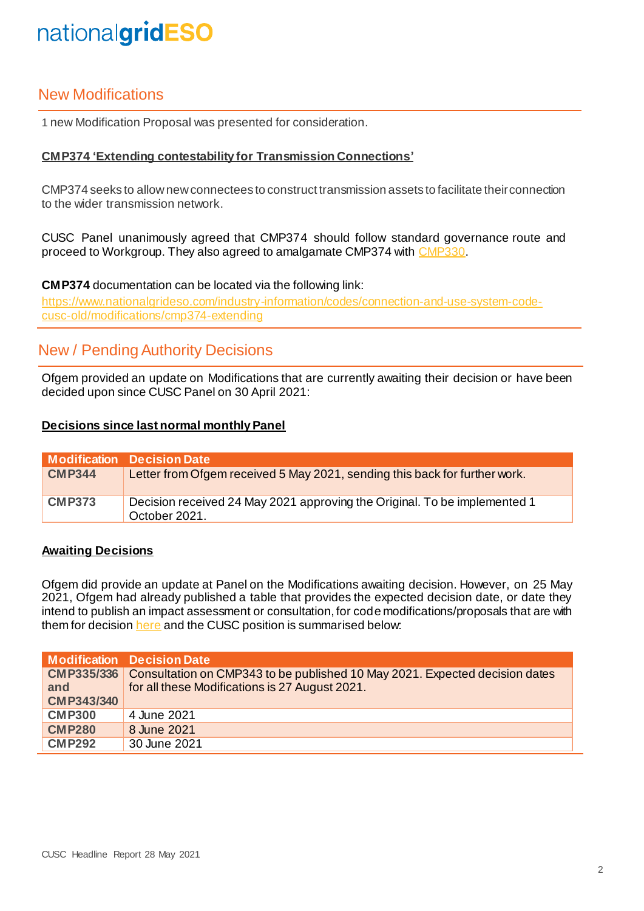# nationalgridESO

## New Modifications

1 new Modification Proposal was presented for consideration.

### **CMP374 'Extending contestability for Transmission Connections'**

CMP374 seeks to allow new connectees to construct transmission assets to facilitate their connection to the wider transmission network.

CUSC Panel unanimously agreed that CMP374 should follow standard governance route and proceed to Workgroup. They also agreed to amalgamate CMP374 wit[h CMP330.](https://www.nationalgrideso.com/industry-information/codes/connection-and-use-system-code-cusc-old/modifications/cmp330-allowing)

#### **CMP374** documentation can be located via the following link:

[https://www.nationalgrideso.com/industry-information/codes/connection-and-use-system-code](https://www.nationalgrideso.com/industry-information/codes/connection-and-use-system-code-cusc-old/modifications/cmp374-extending)[cusc-old/modifications/cmp374-extending](https://www.nationalgrideso.com/industry-information/codes/connection-and-use-system-code-cusc-old/modifications/cmp374-extending)

## New / Pending Authority Decisions

Ofgem provided an update on Modifications that are currently awaiting their decision or have been decided upon since CUSC Panel on 30 April 2021:

### **Decisions since last normal monthly Panel**

|               | Modification Decision Date                                                                 |
|---------------|--------------------------------------------------------------------------------------------|
| <b>CMP344</b> | Letter from Ofgem received 5 May 2021, sending this back for further work.                 |
| <b>CMP373</b> | Decision received 24 May 2021 approving the Original. To be implemented 1<br>October 2021. |

### **Awaiting Decisions**

Ofgem did provide an update at Panel on the Modifications awaiting decision. However, on 25 May 2021, Ofgem had already published a table that provides the expected decision date, or date they intend to publish an impact assessment or consultation, for code modifications/proposals that are with them for decision [here](https://www.ofgem.gov.uk/system/files/docs/2021/05/code_modification_proposals_with_ofgem_for_decision_-_expected_publication_dates_timetable.pdf) and the CUSC position is summarised below:

|                   | <b>Modification Decision Date</b>                                                             |
|-------------------|-----------------------------------------------------------------------------------------------|
|                   | <b>CMP335/336</b> Consultation on CMP343 to be published 10 May 2021. Expected decision dates |
| and               | for all these Modifications is 27 August 2021.                                                |
| <b>CMP343/340</b> |                                                                                               |
| <b>CMP300</b>     | 4 June 2021                                                                                   |
| <b>CMP280</b>     | 8 June 2021                                                                                   |
| <b>CMP292</b>     | 30 June 2021                                                                                  |